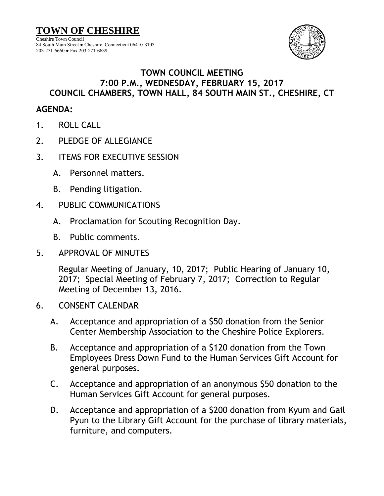**TOWN OF CHESHIRE** Cheshire Town Council 84 South Main Street ● Cheshire, Connecticut 06410-3193 203-271-6660 ● Fax 203-271-6639



## **TOWN COUNCIL MEETING 7:00 P.M., WEDNESDAY, FEBRUARY 15, 2017 COUNCIL CHAMBERS, TOWN HALL, 84 SOUTH MAIN ST., CHESHIRE, CT**

## **AGENDA:**

- 1. ROLL CALL
- 2. PLEDGE OF ALLEGIANCE
- 3. ITEMS FOR EXECUTIVE SESSION
	- A. Personnel matters.
	- B. Pending litigation.
- 4. PUBLIC COMMUNICATIONS
	- A. Proclamation for Scouting Recognition Day.
	- B. Public comments.
- 5. APPROVAL OF MINUTES

Regular Meeting of January, 10, 2017; Public Hearing of January 10, 2017; Special Meeting of February 7, 2017; Correction to Regular Meeting of December 13, 2016.

- 6. CONSENT CALENDAR
	- A. Acceptance and appropriation of a \$50 donation from the Senior Center Membership Association to the Cheshire Police Explorers.
	- B. Acceptance and appropriation of a \$120 donation from the Town Employees Dress Down Fund to the Human Services Gift Account for general purposes.
	- C. Acceptance and appropriation of an anonymous \$50 donation to the Human Services Gift Account for general purposes.
	- D. Acceptance and appropriation of a \$200 donation from Kyum and Gail Pyun to the Library Gift Account for the purchase of library materials, furniture, and computers.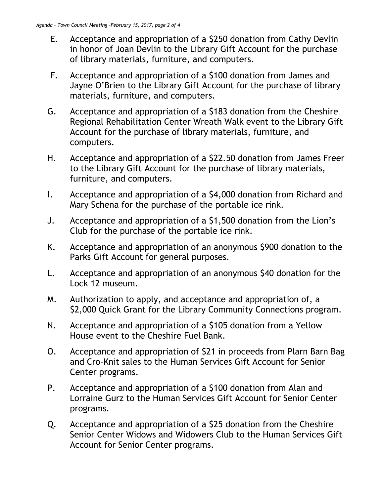- E. Acceptance and appropriation of a \$250 donation from Cathy Devlin in honor of Joan Devlin to the Library Gift Account for the purchase of library materials, furniture, and computers.
- F. Acceptance and appropriation of a \$100 donation from James and Jayne O'Brien to the Library Gift Account for the purchase of library materials, furniture, and computers.
- G. Acceptance and appropriation of a \$183 donation from the Cheshire Regional Rehabilitation Center Wreath Walk event to the Library Gift Account for the purchase of library materials, furniture, and computers.
- H. Acceptance and appropriation of a \$22.50 donation from James Freer to the Library Gift Account for the purchase of library materials, furniture, and computers.
- I. Acceptance and appropriation of a \$4,000 donation from Richard and Mary Schena for the purchase of the portable ice rink.
- J. Acceptance and appropriation of a \$1,500 donation from the Lion's Club for the purchase of the portable ice rink.
- K. Acceptance and appropriation of an anonymous \$900 donation to the Parks Gift Account for general purposes.
- L. Acceptance and appropriation of an anonymous \$40 donation for the Lock 12 museum.
- M. Authorization to apply, and acceptance and appropriation of, a \$2,000 Quick Grant for the Library Community Connections program.
- N. Acceptance and appropriation of a \$105 donation from a Yellow House event to the Cheshire Fuel Bank.
- O. Acceptance and appropriation of \$21 in proceeds from Plarn Barn Bag and Cro-Knit sales to the Human Services Gift Account for Senior Center programs.
- P. Acceptance and appropriation of a \$100 donation from Alan and Lorraine Gurz to the Human Services Gift Account for Senior Center programs.
- Q. Acceptance and appropriation of a \$25 donation from the Cheshire Senior Center Widows and Widowers Club to the Human Services Gift Account for Senior Center programs.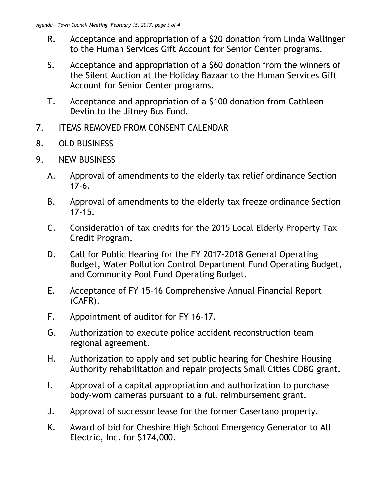- R. Acceptance and appropriation of a \$20 donation from Linda Wallinger to the Human Services Gift Account for Senior Center programs.
- S. Acceptance and appropriation of a \$60 donation from the winners of the Silent Auction at the Holiday Bazaar to the Human Services Gift Account for Senior Center programs.
- T. Acceptance and appropriation of a \$100 donation from Cathleen Devlin to the Jitney Bus Fund.
- 7. ITEMS REMOVED FROM CONSENT CALENDAR
- 8. OLD BUSINESS
- 9. NEW BUSINESS
	- A. Approval of amendments to the elderly tax relief ordinance Section 17-6.
	- B. Approval of amendments to the elderly tax freeze ordinance Section 17-15.
	- C. Consideration of tax credits for the 2015 Local Elderly Property Tax Credit Program.
	- D. Call for Public Hearing for the FY 2017-2018 General Operating Budget, Water Pollution Control Department Fund Operating Budget, and Community Pool Fund Operating Budget.
	- E. Acceptance of FY 15-16 Comprehensive Annual Financial Report (CAFR).
	- F. Appointment of auditor for FY 16-17.
	- G. Authorization to execute police accident reconstruction team regional agreement.
	- H. Authorization to apply and set public hearing for Cheshire Housing Authority rehabilitation and repair projects Small Cities CDBG grant.
	- I. Approval of a capital appropriation and authorization to purchase body-worn cameras pursuant to a full reimbursement grant.
	- J. Approval of successor lease for the former Casertano property.
	- K. Award of bid for Cheshire High School Emergency Generator to All Electric, Inc. for \$174,000.